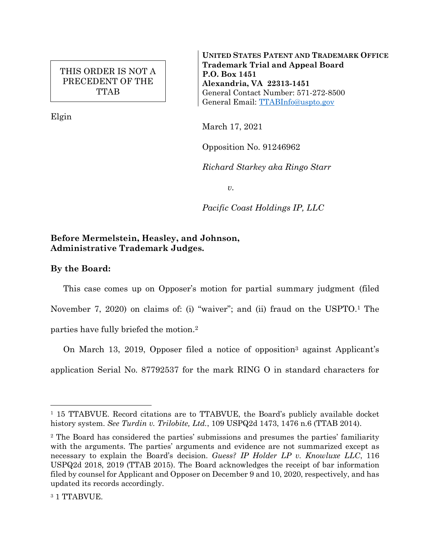## THIS ORDER IS NOT A PRECEDENT OF THE TTAB

Elgin

**UNITED STATES PATENT AND TRADEMARK OFFICE Trademark Trial and Appeal Board P.O. Box 1451 Alexandria, VA 22313-1451** General Contact Number: 571-272-8500 General Email: [TTABInfo@uspto.gov](mailto:TTABInfo@uspto.gov)

March 17, 2021

Opposition No. 91246962

*Richard Starkey aka Ringo Starr*

*v.*

*Pacific Coast Holdings IP, LLC*

# **Before Mermelstein, Heasley, and Johnson, Administrative Trademark Judges.**

# **By the Board:**

This case comes up on Opposer's motion for partial summary judgment (filed November 7, 2020) on claims of: (i) "waiver"; and (ii) fraud on the USPTO.<sup>1</sup> The parties have fully briefed the motion.<sup>2</sup>

On March 13, 2019, Opposer filed a notice of opposition<sup>3</sup> against Applicant's

application Serial No. 87792537 for the mark RING O in standard characters for

<sup>1</sup> 15 TTABVUE. Record citations are to TTABVUE, the Board's publicly available docket history system. *See Turdin v. Trilobite, Ltd.*, 109 USPQ2d 1473, 1476 n.6 (TTAB 2014).

<sup>2</sup> The Board has considered the parties' submissions and presumes the parties' familiarity with the arguments. The parties' arguments and evidence are not summarized except as necessary to explain the Board's decision. *Guess? IP Holder LP v. Knowluxe LLC*, 116 USPQ2d 2018, 2019 (TTAB 2015). The Board acknowledges the receipt of bar information filed by counsel for Applicant and Opposer on December 9 and 10, 2020, respectively, and has updated its records accordingly.

<sup>&</sup>lt;sup>3</sup> 1 TTABVUE.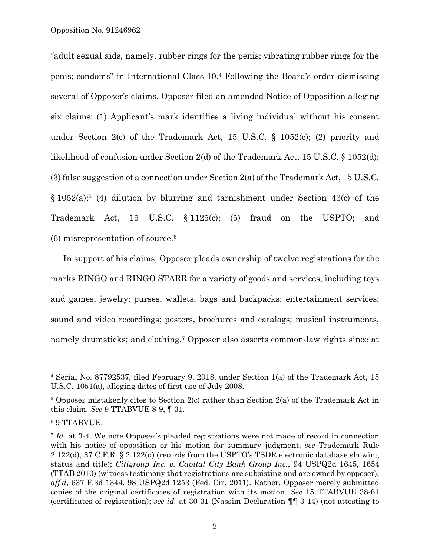"adult sexual aids, namely, rubber rings for the penis; vibrating rubber rings for the penis; condoms" in International Class 10. <sup>4</sup> Following the Board's order dismissing several of Opposer's claims, Opposer filed an amended Notice of Opposition alleging six claims: (1) Applicant's mark identifies a living individual without his consent under Section 2(c) of the Trademark Act, 15 U.S.C. § 1052(c); (2) priority and likelihood of confusion under Section 2(d) of the Trademark Act, 15 U.S.C. § 1052(d); (3) false suggestion of a connection under Section 2(a) of the Trademark Act, 15 U.S.C.  $§ 1052(a)$ ;<sup>5</sup> (4) dilution by blurring and tarnishment under Section 43(c) of the Trademark Act, 15 U.S.C. § 1125(c); (5) fraud on the USPTO; and (6) misrepresentation of source.<sup>6</sup>

In support of his claims, Opposer pleads ownership of twelve registrations for the marks RINGO and RINGO STARR for a variety of goods and services, including toys and games; jewelry; purses, wallets, bags and backpacks; entertainment services; sound and video recordings; posters, brochures and catalogs; musical instruments, namely drumsticks; and clothing.<sup>7</sup> Opposer also asserts common-law rights since at

<sup>4</sup> Serial No. 87792537, filed February 9, 2018, under Section 1(a) of the Trademark Act, 15 U.S.C. 1051(a), alleging dates of first use of July 2008.

<sup>5</sup> Opposer mistakenly cites to Section 2(c) rather than Section 2(a) of the Trademark Act in this claim. *See* 9 TTABVUE 8-9, ¶ 31.

<sup>6</sup> 9 TTABVUE.

<sup>7</sup> *Id.* at 3-4. We note Opposer's pleaded registrations were not made of record in connection with his notice of opposition or his motion for summary judgment, *see* Trademark Rule 2.122(d), 37 C.F.R. § 2.122(d) (records from the USPTO's TSDR electronic database showing status and title); *Citigroup Inc. v. Capital City Bank Group Inc.*, 94 USPQ2d 1645, 1654 (TTAB 2010) (witness testimony that registrations are subsisting and are owned by opposer), *aff'd*, 637 F.3d 1344, 98 USPQ2d 1253 (Fed. Cir. 2011). Rather, Opposer merely submitted copies of the original certificates of registration with its motion. *See* 15 TTABVUE 38-61 (certificates of registration); *see id.* at 30-31 (Nassim Declaration ¶¶ 3-14) (not attesting to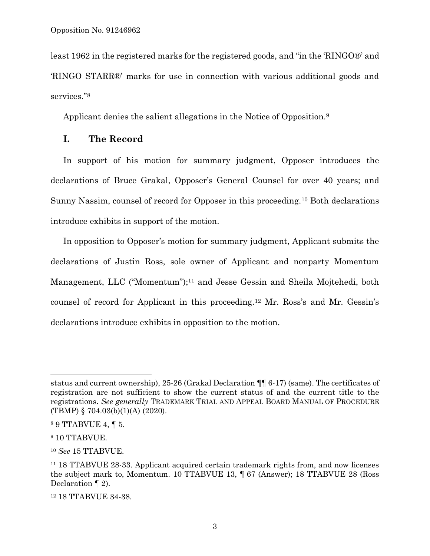least 1962 in the registered marks for the registered goods, and "in the 'RINGO®' and 'RINGO STARR®' marks for use in connection with various additional goods and services." 8

Applicant denies the salient allegations in the Notice of Opposition.<sup>9</sup>

## **I. The Record**

In support of his motion for summary judgment, Opposer introduces the declarations of Bruce Grakal, Opposer's General Counsel for over 40 years; and Sunny Nassim, counsel of record for Opposer in this proceeding.<sup>10</sup> Both declarations introduce exhibits in support of the motion.

In opposition to Opposer's motion for summary judgment, Applicant submits the declarations of Justin Ross, sole owner of Applicant and nonparty Momentum Management, LLC ("Momentum");<sup>11</sup> and Jesse Gessin and Sheila Mojtehedi, both counsel of record for Applicant in this proceeding.<sup>12</sup> Mr. Ross's and Mr. Gessin's declarations introduce exhibits in opposition to the motion.

status and current ownership), 25-26 (Grakal Declaration ¶¶ 6-17) (same). The certificates of registration are not sufficient to show the current status of and the current title to the registrations. *See generally* TRADEMARK TRIAL AND APPEAL BOARD MANUAL OF PROCEDURE (TBMP) § 704.03(b)(1)(A) (2020).

<sup>8</sup> 9 TTABVUE 4, ¶ 5.

<sup>&</sup>lt;sup>9</sup> 10 TTABVUE.

<sup>10</sup> *See* 15 TTABVUE.

<sup>11</sup> 18 TTABVUE 28-33. Applicant acquired certain trademark rights from, and now licenses the subject mark to, Momentum. 10 TTABVUE 13, ¶ 67 (Answer); 18 TTABVUE 28 (Ross Declaration ¶ 2).

<sup>12</sup> 18 TTABVUE 34-38.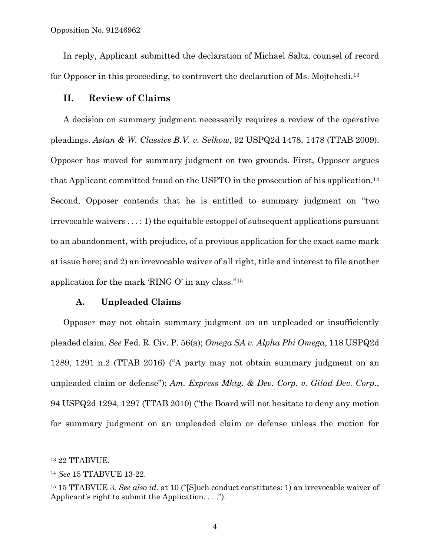In reply, Applicant submitted the declaration of Michael Saltz, counsel of record for Opposer in this proceeding, to controvert the declaration of Ms. Mojtehedi.<sup>13</sup>

### **II. Review of Claims**

A decision on summary judgment necessarily requires a review of the operative pleadings. *Asian & W. Classics B.V. v. Selkow*, 92 USPQ2d 1478, 1478 (TTAB 2009). Opposer has moved for summary judgment on two grounds. First, Opposer argues that Applicant committed fraud on the USPTO in the prosecution of his application.<sup>14</sup> Second, Opposer contends that he is entitled to summary judgment on "two irrevocable waivers . . . : 1) the equitable estoppel of subsequent applications pursuant to an abandonment, with prejudice, of a previous application for the exact same mark at issue here; and 2) an irrevocable waiver of all right, title and interest to file another application for the mark 'RING O' in any class." 15

#### **A. Unpleaded Claims**

Opposer may not obtain summary judgment on an unpleaded or insufficiently pleaded claim. *See* Fed. R. Civ. P. 56(a); *Omega SA v. Alpha Phi Omega*, 118 USPQ2d 1289, 1291 n.2 (TTAB 2016) ("A party may not obtain summary judgment on an unpleaded claim or defense"); *Am. Express Mktg. & Dev. Corp. v. Gilad Dev. Corp*., 94 USPQ2d 1294, 1297 (TTAB 2010) ("the Board will not hesitate to deny any motion for summary judgment on an unpleaded claim or defense unless the motion for

<sup>13</sup> 22 TTABVUE.

<sup>14</sup> *See* 15 TTABVUE 13-22.

<sup>&</sup>lt;sup>15</sup> 15 TTABVUE 3. See also id. at 10 ("[S]uch conduct constitutes: 1) an irrevocable waiver of Applicant's right to submit the Application. . . .").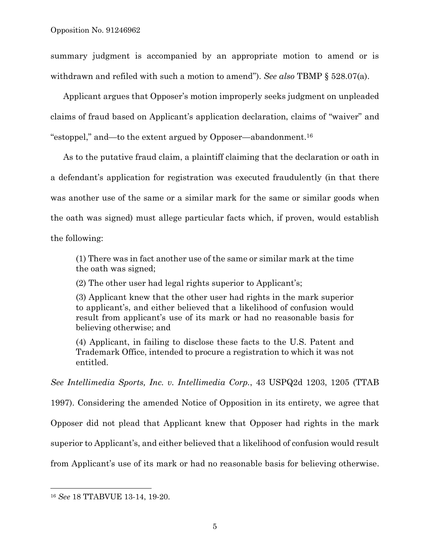summary judgment is accompanied by an appropriate motion to amend or is withdrawn and refiled with such a motion to amend"). *See also* TBMP § 528.07(a).

Applicant argues that Opposer's motion improperly seeks judgment on unpleaded claims of fraud based on Applicant's application declaration, claims of "waiver" and "estoppel," and—to the extent argued by Opposer—abandonment.<sup>16</sup>

As to the putative fraud claim, a plaintiff claiming that the declaration or oath in a defendant's application for registration was executed fraudulently (in that there was another use of the same or a similar mark for the same or similar goods when the oath was signed) must allege particular facts which, if proven, would establish the following:

(1) There was in fact another use of the same or similar mark at the time the oath was signed;

(2) The other user had legal rights superior to Applicant's;

(3) Applicant knew that the other user had rights in the mark superior to applicant's, and either believed that a likelihood of confusion would result from applicant's use of its mark or had no reasonable basis for believing otherwise; and

(4) Applicant, in failing to disclose these facts to the U.S. Patent and Trademark Office, intended to procure a registration to which it was not entitled.

*See Intellimedia Sports, Inc. v. Intellimedia Corp.*, 43 USPQ2d 1203, 1205 (TTAB 1997). Considering the amended Notice of Opposition in its entirety, we agree that Opposer did not plead that Applicant knew that Opposer had rights in the mark superior to Applicant's, and either believed that a likelihood of confusion would result

from Applicant's use of its mark or had no reasonable basis for believing otherwise.

<sup>16</sup> *See* 18 TTABVUE 13-14, 19-20.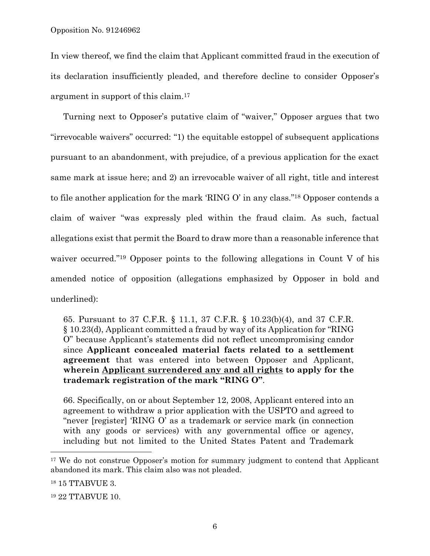In view thereof, we find the claim that Applicant committed fraud in the execution of its declaration insufficiently pleaded, and therefore decline to consider Opposer's argument in support of this claim. 17

Turning next to Opposer's putative claim of "waiver," Opposer argues that two "irrevocable waivers" occurred: "1) the equitable estoppel of subsequent applications pursuant to an abandonment, with prejudice, of a previous application for the exact same mark at issue here; and 2) an irrevocable waiver of all right, title and interest to file another application for the mark 'RING O' in any class." <sup>18</sup> Opposer contends a claim of waiver "was expressly pled within the fraud claim. As such, factual allegations exist that permit the Board to draw more than a reasonable inference that waiver occurred."<sup>19</sup> Opposer points to the following allegations in Count V of his amended notice of opposition (allegations emphasized by Opposer in bold and underlined):

65. Pursuant to 37 C.F.R. § 11.1, 37 C.F.R. § 10.23(b)(4), and 37 C.F.R. § 10.23(d), Applicant committed a fraud by way of its Application for "RING O" because Applicant's statements did not reflect uncompromising candor since **Applicant concealed material facts related to a settlement agreement** that was entered into between Opposer and Applicant, **wherein Applicant surrendered any and all rights to apply for the trademark registration of the mark "RING O"**.

66. Specifically, on or about September 12, 2008, Applicant entered into an agreement to withdraw a prior application with the USPTO and agreed to "never [register] 'RING O' as a trademark or service mark (in connection with any goods or services) with any governmental office or agency, including but not limited to the United States Patent and Trademark

<sup>&</sup>lt;sup>17</sup> We do not construe Opposer's motion for summary judgment to contend that Applicant abandoned its mark. This claim also was not pleaded.

<sup>18</sup> 15 TTABVUE 3.

<sup>19</sup> 22 TTABVUE 10.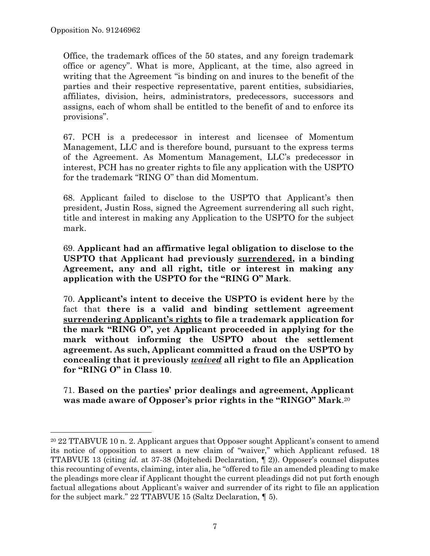Office, the trademark offices of the 50 states, and any foreign trademark office or agency". What is more, Applicant, at the time, also agreed in writing that the Agreement "is binding on and inures to the benefit of the parties and their respective representative, parent entities, subsidiaries, affiliates, division, heirs, administrators, predecessors, successors and assigns, each of whom shall be entitled to the benefit of and to enforce its provisions".

67. PCH is a predecessor in interest and licensee of Momentum Management, LLC and is therefore bound, pursuant to the express terms of the Agreement. As Momentum Management, LLC's predecessor in interest, PCH has no greater rights to file any application with the USPTO for the trademark "RING O" than did Momentum.

68. Applicant failed to disclose to the USPTO that Applicant's then president, Justin Ross, signed the Agreement surrendering all such right, title and interest in making any Application to the USPTO for the subject mark.

69. **Applicant had an affirmative legal obligation to disclose to the USPTO that Applicant had previously surrendered, in a binding Agreement, any and all right, title or interest in making any application with the USPTO for the "RING O" Mark**.

70. **Applicant's intent to deceive the USPTO is evident here** by the fact that **there is a valid and binding settlement agreement surrendering Applicant's rights to file a trademark application for the mark "RING O", yet Applicant proceeded in applying for the mark without informing the USPTO about the settlement agreement. As such, Applicant committed a fraud on the USPTO by concealing that it previously** *waived* **all right to file an Application for "RING O" in Class 10**.

71. **Based on the parties' prior dealings and agreement, Applicant was made aware of Opposer's prior rights in the "RINGO" Mark**. 20

<sup>20</sup> 22 TTABVUE 10 n. 2. Applicant argues that Opposer sought Applicant's consent to amend its notice of opposition to assert a new claim of "waiver," which Applicant refused. 18 TTABVUE 13 (citing *id.* at 37-38 (Mojtehedi Declaration, ¶ 2)). Opposer's counsel disputes this recounting of events, claiming, inter alia, he "offered to file an amended pleading to make the pleadings more clear if Applicant thought the current pleadings did not put forth enough factual allegations about Applicant's waiver and surrender of its right to file an application for the subject mark." 22 TTABVUE 15 (Saltz Declaration, ¶ 5).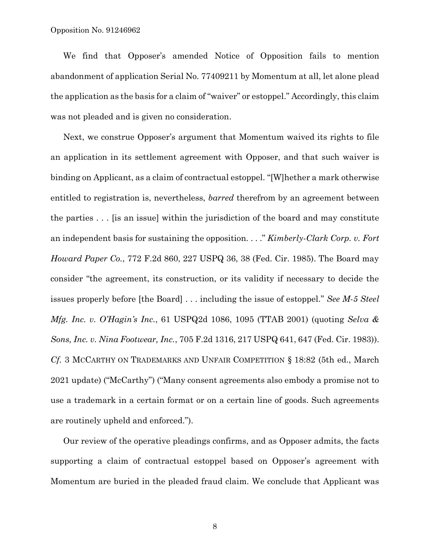We find that Opposer's amended Notice of Opposition fails to mention abandonment of application Serial No. 77409211 by Momentum at all, let alone plead the application as the basis for a claim of "waiver" or estoppel." Accordingly, this claim was not pleaded and is given no consideration.

Next, we construe Opposer's argument that Momentum waived its rights to file an application in its settlement agreement with Opposer, and that such waiver is binding on Applicant, as a claim of contractual estoppel. "[W]hether a mark otherwise entitled to registration is, nevertheless, *barred* therefrom by an agreement between the parties . . . [is an issue] within the jurisdiction of the board and may constitute an independent basis for sustaining the opposition. . . ." *Kimberly-Clark Corp. v. Fort Howard Paper Co.*, 772 F.2d 860, 227 USPQ 36, 38 (Fed. Cir. 1985). The Board may consider "the agreement, its construction, or its validity if necessary to decide the issues properly before [the Board] . . . including the issue of estoppel." *See M-5 Steel Mfg. Inc. v. O'Hagin's Inc.*, 61 USPQ2d 1086, 1095 (TTAB 2001) (quoting *Selva & Sons, Inc. v. Nina Footwear, Inc.*, 705 F.2d 1316, 217 USPQ 641, 647 (Fed. Cir. 1983)). *Cf.* 3 MCCARTHY ON TRADEMARKS AND UNFAIR COMPETITION § 18:82 (5th ed., March 2021 update) ("McCarthy") ("Many consent agreements also embody a promise not to use a trademark in a certain format or on a certain line of goods. Such agreements are routinely upheld and enforced.").

Our review of the operative pleadings confirms, and as Opposer admits, the facts supporting a claim of contractual estoppel based on Opposer's agreement with Momentum are buried in the pleaded fraud claim. We conclude that Applicant was

8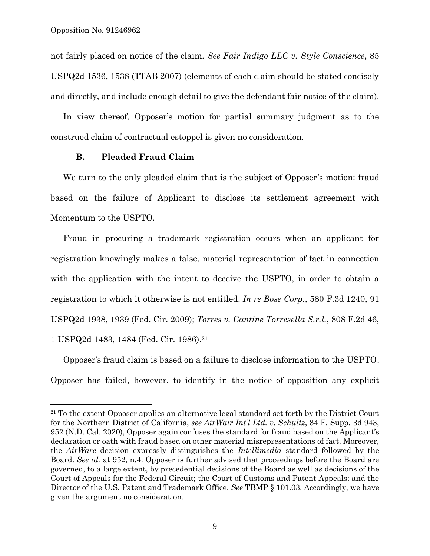not fairly placed on notice of the claim. *See Fair Indigo LLC v. Style Conscience*, 85 USPQ2d 1536, 1538 (TTAB 2007) (elements of each claim should be stated concisely and directly, and include enough detail to give the defendant fair notice of the claim).

In view thereof, Opposer's motion for partial summary judgment as to the construed claim of contractual estoppel is given no consideration.

#### **B. Pleaded Fraud Claim**

We turn to the only pleaded claim that is the subject of Opposer's motion: fraud based on the failure of Applicant to disclose its settlement agreement with Momentum to the USPTO.

Fraud in procuring a trademark registration occurs when an applicant for registration knowingly makes a false, material representation of fact in connection with the application with the intent to deceive the USPTO, in order to obtain a registration to which it otherwise is not entitled. *In re Bose Corp.*, 580 F.3d 1240, 91 USPQ2d 1938, 1939 (Fed. Cir. 2009); *Torres v. Cantine Torresella S.r.l.*, 808 F.2d 46, 1 USPQ2d 1483, 1484 (Fed. Cir. 1986).<sup>21</sup>

Opposer's fraud claim is based on a failure to disclose information to the USPTO. Opposer has failed, however, to identify in the notice of opposition any explicit

<sup>&</sup>lt;sup>21</sup> To the extent Opposer applies an alternative legal standard set forth by the District Court for the Northern District of California, *see AirWair Int'l Ltd. v. Schultz*, 84 F. Supp. 3d 943, 952 (N.D. Cal. 2020), Opposer again confuses the standard for fraud based on the Applicant's declaration or oath with fraud based on other material misrepresentations of fact. Moreover, the *AirWare* decision expressly distinguishes the *Intellimedia* standard followed by the Board. *See id.* at 952, n.4. Opposer is further advised that proceedings before the Board are governed, to a large extent, by precedential decisions of the Board as well as decisions of the Court of Appeals for the Federal Circuit; the Court of Customs and Patent Appeals; and the Director of the U.S. Patent and Trademark Office. *See* TBMP § 101.03. Accordingly, we have given the argument no consideration.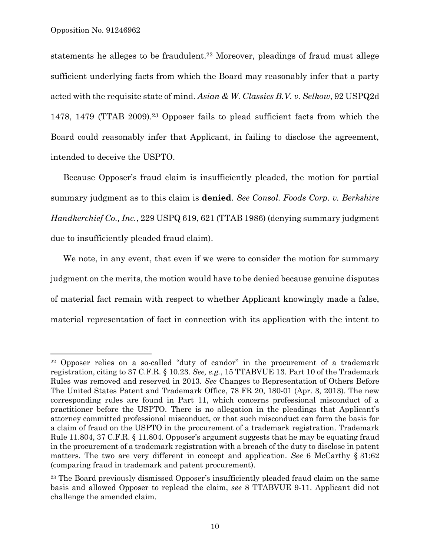statements he alleges to be fraudulent.<sup>22</sup> Moreover, pleadings of fraud must allege sufficient underlying facts from which the Board may reasonably infer that a party acted with the requisite state of mind. *Asian & W. Classics B.V. v. Selkow*, 92 USPQ2d 1478, 1479 (TTAB 2009).<sup>23</sup> Opposer fails to plead sufficient facts from which the Board could reasonably infer that Applicant, in failing to disclose the agreement, intended to deceive the USPTO.

Because Opposer's fraud claim is insufficiently pleaded, the motion for partial summary judgment as to this claim is **denied**. *See Consol. Foods Corp. v. Berkshire Handkerchief Co., Inc.*, 229 USPQ 619, 621 (TTAB 1986) (denying summary judgment due to insufficiently pleaded fraud claim).

We note, in any event, that even if we were to consider the motion for summary judgment on the merits, the motion would have to be denied because genuine disputes of material fact remain with respect to whether Applicant knowingly made a false, material representation of fact in connection with its application with the intent to

<sup>22</sup> Opposer relies on a so-called "duty of candor" in the procurement of a trademark registration, citing to 37 C.F.R. § 10.23. *See, e.g.*, 15 TTABVUE 13. Part 10 of the Trademark Rules was removed and reserved in 2013. *See* Changes to Representation of Others Before The United States Patent and Trademark Office, 78 FR 20, 180-01 (Apr. 3, 2013). The new corresponding rules are found in Part 11, which concerns professional misconduct of a practitioner before the USPTO. There is no allegation in the pleadings that Applicant's attorney committed professional misconduct, or that such misconduct can form the basis for a claim of fraud on the USPTO in the procurement of a trademark registration. Trademark Rule 11.804, 37 C.F.R. § 11.804. Opposer's argument suggests that he may be equating fraud in the procurement of a trademark registration with a breach of the duty to disclose in patent matters. The two are very different in concept and application. *See* 6 McCarthy § 31:62 (comparing fraud in trademark and patent procurement).

<sup>&</sup>lt;sup>23</sup> The Board previously dismissed Opposer's insufficiently pleaded fraud claim on the same basis and allowed Opposer to replead the claim, *see* 8 TTABVUE 9-11. Applicant did not challenge the amended claim.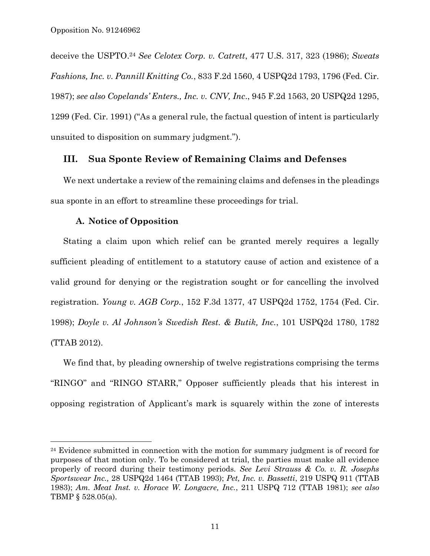deceive the USPTO. <sup>24</sup> *See Celotex Corp. v. Catrett*, 477 U.S. 317, 323 (1986); *Sweats Fashions, Inc. v. Pannill Knitting Co.*, 833 F.2d 1560, 4 USPQ2d 1793, 1796 (Fed. Cir. 1987); *see also Copelands' Enters., Inc. v. CNV, Inc*., 945 F.2d 1563, 20 USPQ2d 1295, 1299 (Fed. Cir. 1991) ("As a general rule, the factual question of intent is particularly unsuited to disposition on summary judgment.").

## **III. Sua Sponte Review of Remaining Claims and Defenses**

We next undertake a review of the remaining claims and defenses in the pleadings sua sponte in an effort to streamline these proceedings for trial.

#### **A. Notice of Opposition**

l

Stating a claim upon which relief can be granted merely requires a legally sufficient pleading of entitlement to a statutory cause of action and existence of a valid ground for denying or the registration sought or for cancelling the involved registration. *Young v. AGB Corp.*, 152 F.3d 1377, 47 USPQ2d 1752, 1754 (Fed. Cir. 1998); *Doyle v. Al Johnson's Swedish Rest. & Butik, Inc.*, 101 USPQ2d 1780, 1782 (TTAB 2012).

We find that, by pleading ownership of twelve registrations comprising the terms "RINGO" and "RINGO STARR," Opposer sufficiently pleads that his interest in opposing registration of Applicant's mark is squarely within the zone of interests

11

 $24$  Evidence submitted in connection with the motion for summary judgment is of record for purposes of that motion only. To be considered at trial, the parties must make all evidence properly of record during their testimony periods. *See Levi Strauss & Co. v. R. Josephs Sportswear Inc.,* 28 USPQ2d 1464 (TTAB 1993); *Pet, Inc. v. Bassetti*, 219 USPQ 911 (TTAB 1983); *Am. Meat Inst. v. Horace W. Longacre, Inc.*, 211 USPQ 712 (TTAB 1981); *see also* TBMP § 528.05(a).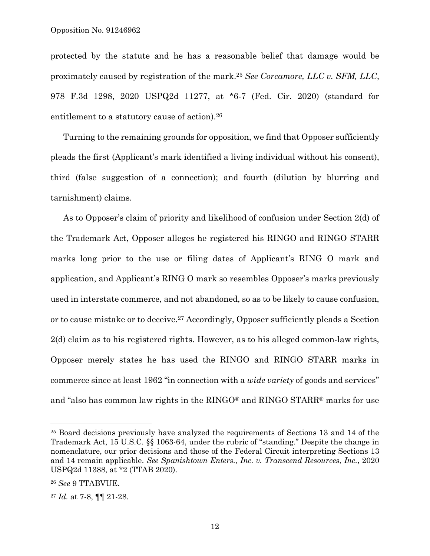protected by the statute and he has a reasonable belief that damage would be proximately caused by registration of the mark. <sup>25</sup> *See Corcamore, LLC v. SFM, LLC*, 978 F.3d 1298, 2020 USPQ2d 11277, at \*6-7 (Fed. Cir. 2020) (standard for entitlement to a statutory cause of action). 26

Turning to the remaining grounds for opposition, we find that Opposer sufficiently pleads the first (Applicant's mark identified a living individual without his consent), third (false suggestion of a connection); and fourth (dilution by blurring and tarnishment) claims.

As to Opposer's claim of priority and likelihood of confusion under Section 2(d) of the Trademark Act, Opposer alleges he registered his RINGO and RINGO STARR marks long prior to the use or filing dates of Applicant's RING O mark and application, and Applicant's RING O mark so resembles Opposer's marks previously used in interstate commerce, and not abandoned, so as to be likely to cause confusion, or to cause mistake or to deceive.<sup>27</sup> Accordingly, Opposer sufficiently pleads a Section 2(d) claim as to his registered rights. However, as to his alleged common-law rights, Opposer merely states he has used the RINGO and RINGO STARR marks in commerce since at least 1962 "in connection with a *wide variety* of goods and services" and "also has common law rights in the RINGO® and RINGO STARR® marks for use

<sup>25</sup> Board decisions previously have analyzed the requirements of Sections 13 and 14 of the Trademark Act, 15 U.S.C. §§ 1063-64, under the rubric of "standing." Despite the change in nomenclature, our prior decisions and those of the Federal Circuit interpreting Sections 13 and 14 remain applicable. *See Spanishtown Enters., Inc. v. Transcend Resources, Inc.*, 2020 USPQ2d 11388, at \*2 (TTAB 2020).

<sup>26</sup> *See* 9 TTABVUE.

<sup>27</sup> *Id.* at 7-8, ¶¶ 21-28.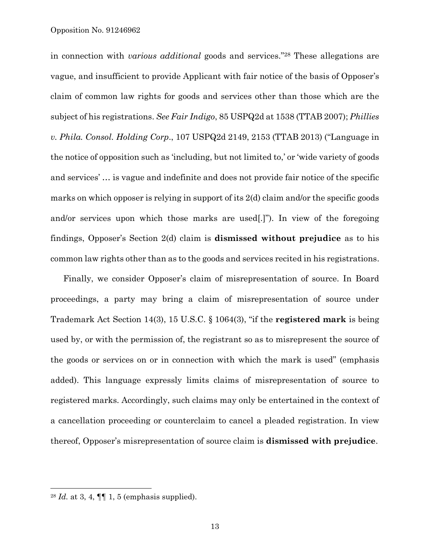in connection with *various additional* goods and services." <sup>28</sup> These allegations are vague, and insufficient to provide Applicant with fair notice of the basis of Opposer's claim of common law rights for goods and services other than those which are the subject of his registrations. *See Fair Indigo*, 85 USPQ2d at 1538 (TTAB 2007); *Phillies v. Phila. Consol. Holding Corp*., 107 USPQ2d 2149, 2153 (TTAB 2013) ("Language in the notice of opposition such as 'including, but not limited to,' or 'wide variety of goods and services' … is vague and indefinite and does not provide fair notice of the specific marks on which opposer is relying in support of its 2(d) claim and/or the specific goods and/or services upon which those marks are used[.]"). In view of the foregoing findings, Opposer's Section 2(d) claim is **dismissed without prejudice** as to his common law rights other than as to the goods and services recited in his registrations.

Finally, we consider Opposer's claim of misrepresentation of source. In Board proceedings, a party may bring a claim of misrepresentation of source under Trademark Act Section 14(3), 15 U.S.C. § 1064(3), "if the **registered mark** is being used by, or with the permission of, the registrant so as to misrepresent the source of the goods or services on or in connection with which the mark is used" (emphasis added). This language expressly limits claims of misrepresentation of source to registered marks. Accordingly, such claims may only be entertained in the context of a cancellation proceeding or counterclaim to cancel a pleaded registration. In view thereof, Opposer's misrepresentation of source claim is **dismissed with prejudice**.

 $28$  *Id.* at 3, 4,  $\P\P$  1, 5 (emphasis supplied).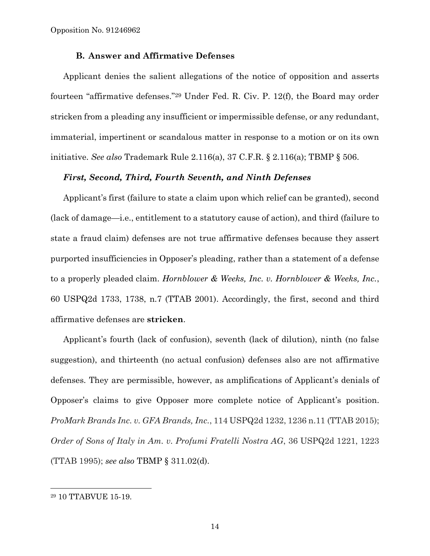#### **B. Answer and Affirmative Defenses**

Applicant denies the salient allegations of the notice of opposition and asserts fourteen "affirmative defenses." <sup>29</sup> Under Fed. R. Civ. P. 12(f), the Board may order stricken from a pleading any insufficient or impermissible defense, or any redundant, immaterial, impertinent or scandalous matter in response to a motion or on its own initiative. *See also* Trademark Rule 2.116(a), 37 C.F.R. § 2.116(a); TBMP § 506.

#### *First, Second, Third, Fourth Seventh, and Ninth Defenses*

Applicant's first (failure to state a claim upon which relief can be granted), second (lack of damage—i.e., entitlement to a statutory cause of action), and third (failure to state a fraud claim) defenses are not true affirmative defenses because they assert purported insufficiencies in Opposer's pleading, rather than a statement of a defense to a properly pleaded claim. *Hornblower & Weeks, Inc. v. Hornblower & Weeks, Inc.*, 60 USPQ2d 1733, 1738, n.7 (TTAB 2001). Accordingly, the first, second and third affirmative defenses are **stricken**.

Applicant's fourth (lack of confusion), seventh (lack of dilution), ninth (no false suggestion), and thirteenth (no actual confusion) defenses also are not affirmative defenses. They are permissible, however, as amplifications of Applicant's denials of Opposer's claims to give Opposer more complete notice of Applicant's position. *ProMark Brands Inc. v. GFA Brands, Inc.*, 114 USPQ2d 1232, 1236 n.11 (TTAB 2015); *Order of Sons of Italy in Am. v. Profumi Fratelli Nostra AG*, 36 USPQ2d 1221, 1223 (TTAB 1995); *see also* TBMP § 311.02(d).

<sup>29</sup> 10 TTABVUE 15-19.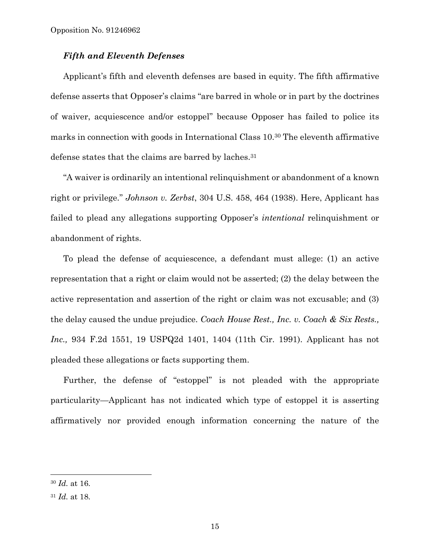#### *Fifth and Eleventh Defenses*

Applicant's fifth and eleventh defenses are based in equity. The fifth affirmative defense asserts that Opposer's claims "are barred in whole or in part by the doctrines of waiver, acquiescence and/or estoppel" because Opposer has failed to police its marks in connection with goods in International Class 10.<sup>30</sup> The eleventh affirmative defense states that the claims are barred by laches.<sup>31</sup>

"A waiver is ordinarily an intentional relinquishment or abandonment of a known right or privilege." *Johnson v. Zerbst*, 304 U.S. 458, 464 (1938). Here, Applicant has failed to plead any allegations supporting Opposer's *intentional* relinquishment or abandonment of rights.

To plead the defense of acquiescence, a defendant must allege: (1) an active representation that a right or claim would not be asserted; (2) the delay between the active representation and assertion of the right or claim was not excusable; and (3) the delay caused the undue prejudice. *Coach House Rest., Inc. v. Coach & Six Rests., Inc.,* 934 F.2d 1551, 19 USPQ2d 1401, 1404 (11th Cir. 1991). Applicant has not pleaded these allegations or facts supporting them.

Further, the defense of "estoppel" is not pleaded with the appropriate particularity—Applicant has not indicated which type of estoppel it is asserting affirmatively nor provided enough information concerning the nature of the

<sup>30</sup> *Id.* at 16.

<sup>31</sup> *Id.* at 18.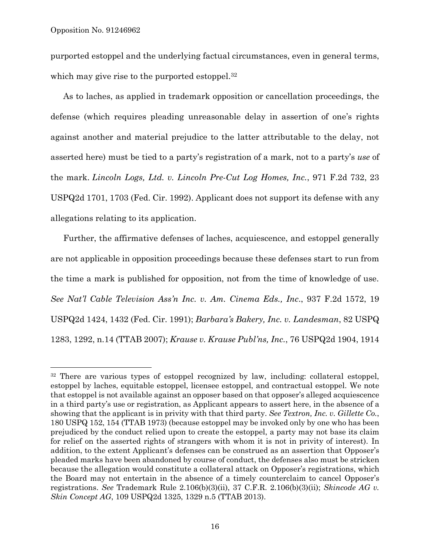purported estoppel and the underlying factual circumstances, even in general terms, which may give rise to the purported estoppel.<sup>32</sup>

As to laches, as applied in trademark opposition or cancellation proceedings, the defense (which requires pleading unreasonable delay in assertion of one's rights against another and material prejudice to the latter attributable to the delay, not asserted here) must be tied to a party's registration of a mark, not to a party's *use* of the mark. *Lincoln Logs, Ltd. v. Lincoln Pre-Cut Log Homes, Inc.*, 971 F.2d 732, 23 USPQ2d 1701, 1703 (Fed. Cir. 1992). Applicant does not support its defense with any allegations relating to its application.

Further, the affirmative defenses of laches, acquiescence, and estoppel generally are not applicable in opposition proceedings because these defenses start to run from the time a mark is published for opposition, not from the time of knowledge of use. *See Nat'l Cable Television Ass'n Inc. v. Am. Cinema Eds., Inc*., 937 F.2d 1572, 19 USPQ2d 1424, 1432 (Fed. Cir. 1991); *Barbara's Bakery, Inc. v. Landesman*, 82 USPQ 1283, 1292, n.14 (TTAB 2007); *Krause v. Krause Publ'ns, Inc.*, 76 USPQ2d 1904, 1914

<sup>&</sup>lt;sup>32</sup> There are various types of estoppel recognized by law, including: collateral estoppel, estoppel by laches, equitable estoppel, licensee estoppel, and contractual estoppel. We note that estoppel is not available against an opposer based on that opposer's alleged acquiescence in a third party's use or registration, as Applicant appears to assert here, in the absence of a showing that the applicant is in privity with that third party. *See Textron, Inc. v. Gillette Co.*, 180 USPQ 152, 154 (TTAB 1973) (because estoppel may be invoked only by one who has been prejudiced by the conduct relied upon to create the estoppel, a party may not base its claim for relief on the asserted rights of strangers with whom it is not in privity of interest). In addition, to the extent Applicant's defenses can be construed as an assertion that Opposer's pleaded marks have been abandoned by course of conduct, the defenses also must be stricken because the allegation would constitute a collateral attack on Opposer's registrations, which the Board may not entertain in the absence of a timely counterclaim to cancel Opposer's registrations. *See* Trademark Rule 2.106(b)(3)(ii), 37 C.F.R. 2.106(b)(3)(ii); *Skincode AG v. Skin Concept AG*, 109 USPQ2d 1325, 1329 n.5 (TTAB 2013).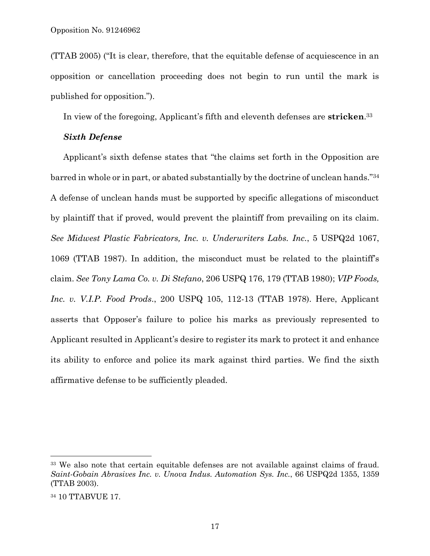(TTAB 2005) ("It is clear, therefore, that the equitable defense of acquiescence in an opposition or cancellation proceeding does not begin to run until the mark is published for opposition.").

In view of the foregoing, Applicant's fifth and eleventh defenses are **stricken**. 33

#### *Sixth Defense*

Applicant's sixth defense states that "the claims set forth in the Opposition are barred in whole or in part, or abated substantially by the doctrine of unclean hands." 34 A defense of unclean hands must be supported by specific allegations of misconduct by plaintiff that if proved, would prevent the plaintiff from prevailing on its claim. *See Midwest Plastic Fabricators, Inc. v. Underwriters Labs. Inc.*, 5 USPQ2d 1067, 1069 (TTAB 1987). In addition, the misconduct must be related to the plaintiff's claim. *See Tony Lama Co. v. Di Stefano*, 206 USPQ 176, 179 (TTAB 1980); *VIP Foods, Inc. v. V.I.P. Food Prods*., 200 USPQ 105, 112-13 (TTAB 1978). Here, Applicant asserts that Opposer's failure to police his marks as previously represented to Applicant resulted in Applicant's desire to register its mark to protect it and enhance its ability to enforce and police its mark against third parties. We find the sixth affirmative defense to be sufficiently pleaded.

<sup>33</sup> We also note that certain equitable defenses are not available against claims of fraud. *Saint-Gobain Abrasives Inc. v. Unova Indus. Automation Sys. Inc.*, 66 USPQ2d 1355, 1359 (TTAB 2003).

<sup>34</sup> 10 TTABVUE 17.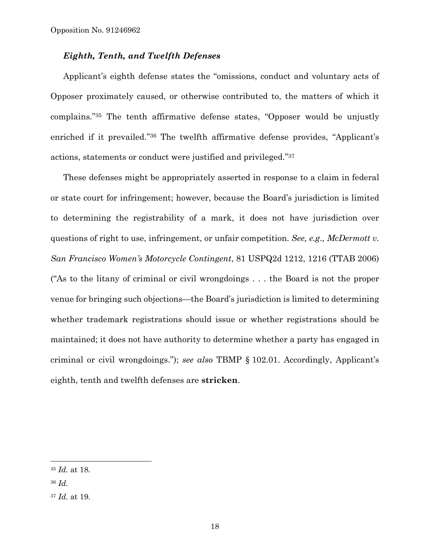### *Eighth, Tenth, and Twelfth Defenses*

Applicant's eighth defense states the "omissions, conduct and voluntary acts of Opposer proximately caused, or otherwise contributed to, the matters of which it complains." <sup>35</sup> The tenth affirmative defense states, "Opposer would be unjustly enriched if it prevailed." <sup>36</sup> The twelfth affirmative defense provides, "Applicant's actions, statements or conduct were justified and privileged." 37

These defenses might be appropriately asserted in response to a claim in federal or state court for infringement; however, because the Board's jurisdiction is limited to determining the registrability of a mark, it does not have jurisdiction over questions of right to use, infringement, or unfair competition. *See, e.g., McDermott v. San Francisco Women's Motorcycle Contingent*, 81 USPQ2d 1212, 1216 (TTAB 2006) ("As to the litany of criminal or civil wrongdoings . . . the Board is not the proper venue for bringing such objections—the Board's jurisdiction is limited to determining whether trademark registrations should issue or whether registrations should be maintained; it does not have authority to determine whether a party has engaged in criminal or civil wrongdoings."); *see also* TBMP § 102.01. Accordingly, Applicant's eighth, tenth and twelfth defenses are **stricken**.

<sup>35</sup> *Id.* at 18.

<sup>36</sup> *Id.*

<sup>37</sup> *Id.* at 19.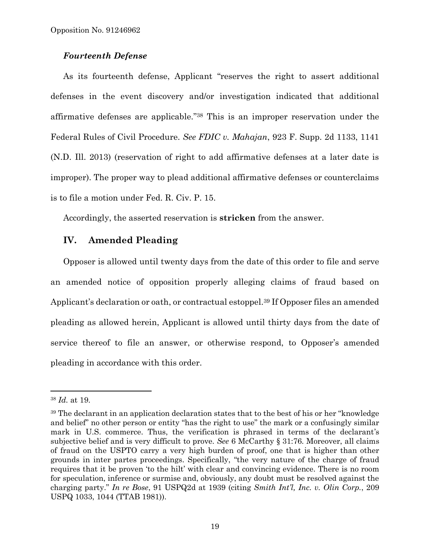### *Fourteenth Defense*

As its fourteenth defense, Applicant "reserves the right to assert additional defenses in the event discovery and/or investigation indicated that additional affirmative defenses are applicable." <sup>38</sup> This is an improper reservation under the Federal Rules of Civil Procedure. *See FDIC v. Mahajan*, 923 F. Supp. 2d 1133, 1141 (N.D. Ill. 2013) (reservation of right to add affirmative defenses at a later date is improper). The proper way to plead additional affirmative defenses or counterclaims is to file a motion under Fed. R. Civ. P. 15.

Accordingly, the asserted reservation is **stricken** from the answer.

### **IV. Amended Pleading**

Opposer is allowed until twenty days from the date of this order to file and serve an amended notice of opposition properly alleging claims of fraud based on Applicant's declaration or oath, or contractual estoppel.<sup>39</sup> If Opposer files an amended pleading as allowed herein, Applicant is allowed until thirty days from the date of service thereof to file an answer, or otherwise respond, to Opposer's amended pleading in accordance with this order.

<sup>38</sup> *Id.* at 19.

<sup>&</sup>lt;sup>39</sup> The declarant in an application declaration states that to the best of his or her "knowledge" and belief" no other person or entity "has the right to use" the mark or a confusingly similar mark in U.S. commerce. Thus, the verification is phrased in terms of the declarant's subjective belief and is very difficult to prove. *See* 6 McCarthy § 31:76. Moreover, all claims of fraud on the USPTO carry a very high burden of proof, one that is higher than other grounds in inter partes proceedings. Specifically, "the very nature of the charge of fraud requires that it be proven 'to the hilt' with clear and convincing evidence. There is no room for speculation, inference or surmise and, obviously, any doubt must be resolved against the charging party." *In re Bose*, 91 USPQ2d at 1939 (citing *Smith Int'l, Inc. v. Olin Corp.*, 209 USPQ 1033, 1044 (TTAB 1981)).